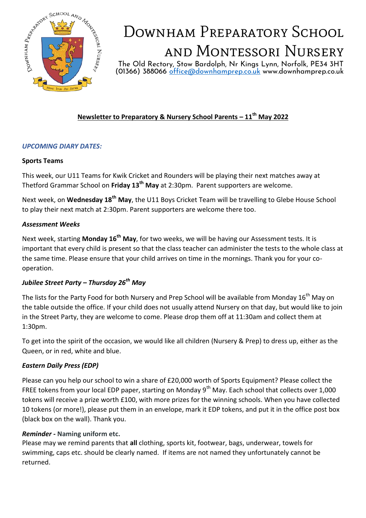

# DOWNHAM PREPARATORY SCHOOL and Montessori Nursery

The Old Rectory, Stow Bardolph, Nr Kings Lynn, Norfolk, PE34 3HT (01366) 388066 [office@downhamprep.co.uk](mailto:office@downhamprep.co.uk) www.downhamprep.co.uk

## **Newsletter to Preparatory & Nursery School Parents – 11th May 2022**

### *UPCOMING DIARY DATES:*

#### **Sports Teams**

This week, our U11 Teams for Kwik Cricket and Rounders will be playing their next matches away at Thetford Grammar School on **Friday 13th May** at 2:30pm. Parent supporters are welcome.

Next week, on **Wednesday 18th May**, the U11 Boys Cricket Team will be travelling to Glebe House School to play their next match at 2:30pm. Parent supporters are welcome there too.

#### *Assessment Weeks*

Next week, starting **Monday 16th May**, for two weeks, we will be having our Assessment tests. It is important that every child is present so that the class teacher can administer the tests to the whole class at the same time. Please ensure that your child arrives on time in the mornings. Thank you for your cooperation.

### *Jubilee Street Party – Thursday 26th May*

The lists for the Party Food for both Nursery and Prep School will be available from Monday 16<sup>th</sup> May on the table outside the office. If your child does not usually attend Nursery on that day, but would like to join in the Street Party, they are welcome to come. Please drop them off at 11:30am and collect them at 1:30pm.

To get into the spirit of the occasion, we would like all children (Nursery & Prep) to dress up, either as the Queen, or in red, white and blue.

### *Eastern Daily Press (EDP)*

Please can you help our school to win a share of £20,000 worth of Sports Equipment? Please collect the FREE tokens from your local EDP paper, starting on Monday 9<sup>th</sup> May. Each school that collects over 1,000 tokens will receive a prize worth £100, with more prizes for the winning schools. When you have collected 10 tokens (or more!), please put them in an envelope, mark it EDP tokens, and put it in the office post box (black box on the wall). Thank you.

#### *Reminder -* **Naming uniform etc.**

Please may we remind parents that **all** clothing, sports kit, footwear, bags, underwear, towels for swimming, caps etc. should be clearly named. If items are not named they unfortunately cannot be returned.